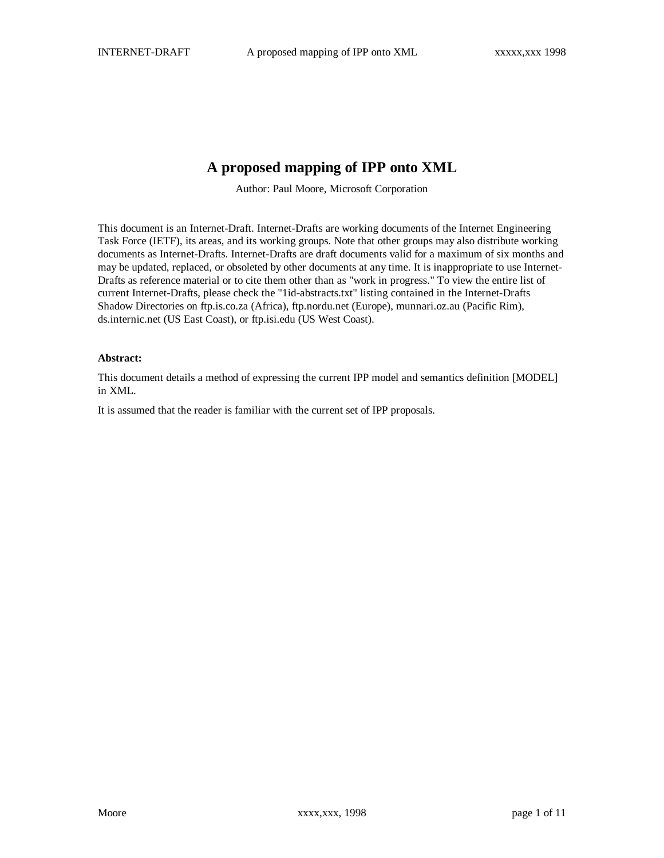## **A proposed mapping of IPP onto XML**

Author: Paul Moore, Microsoft Corporation

This document is an Internet-Draft. Internet-Drafts are working documents of the Internet Engineering Task Force (IETF), its areas, and its working groups. Note that other groups may also distribute working documents as Internet-Drafts. Internet-Drafts are draft documents valid for a maximum of six months and may be updated, replaced, or obsoleted by other documents at any time. It is inappropriate to use Internet-Drafts as reference material or to cite them other than as "work in progress." To view the entire list of current Internet-Drafts, please check the "1id-abstracts.txt" listing contained in the Internet-Drafts Shadow Directories on ftp.is.co.za (Africa), ftp.nordu.net (Europe), munnari.oz.au (Pacific Rim), ds.internic.net (US East Coast), or ftp.isi.edu (US West Coast).

#### **Abstract:**

This document details a method of expressing the current IPP model and semantics definition [MODEL] in XML.

It is assumed that the reader is familiar with the current set of IPP proposals.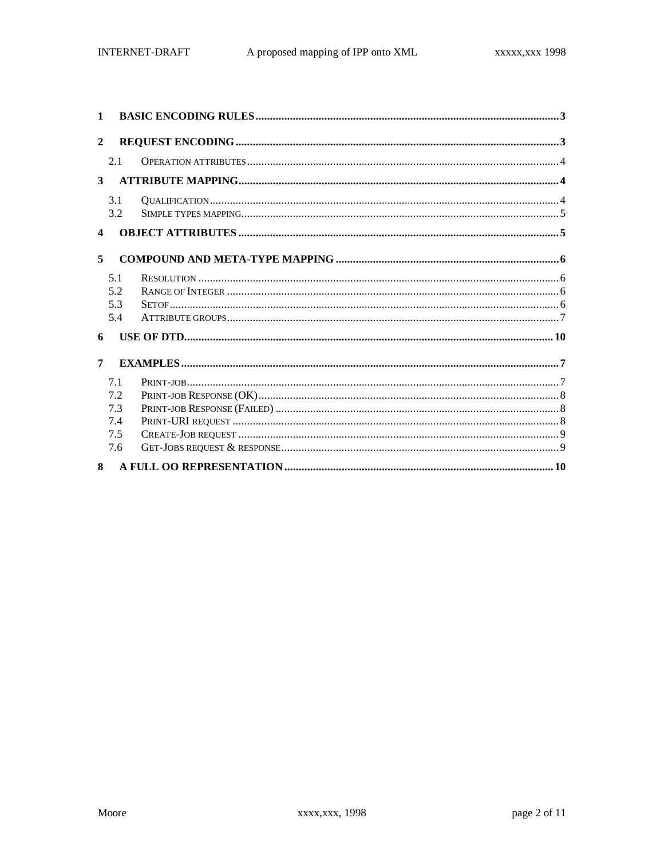| $\mathbf{1}$     |            |  |
|------------------|------------|--|
| $\mathbf{2}$     |            |  |
|                  | 2.1        |  |
| 3                |            |  |
|                  | 3.1<br>3.2 |  |
| $\boldsymbol{4}$ |            |  |
| 5                |            |  |
|                  | 5.1        |  |
|                  | 5.2        |  |
|                  | 5.3        |  |
|                  | 5.4        |  |
| 6                |            |  |
| 7                |            |  |
|                  | 7.1        |  |
|                  | 7.2        |  |
|                  | 7.3        |  |
|                  | 7.4        |  |
|                  | 7.5        |  |
|                  | 7.6        |  |
| $\mathbf{R}$     |            |  |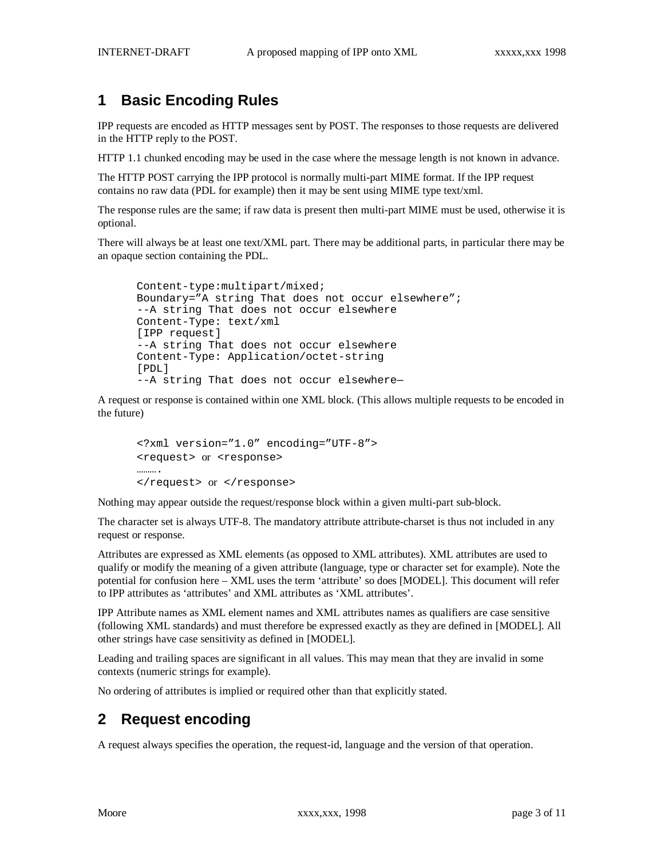# **1 Basic Encoding Rules**

IPP requests are encoded as HTTP messages sent by POST. The responses to those requests are delivered in the HTTP reply to the POST.

HTTP 1.1 chunked encoding may be used in the case where the message length is not known in advance.

The HTTP POST carrying the IPP protocol is normally multi-part MIME format. If the IPP request contains no raw data (PDL for example) then it may be sent using MIME type text/xml.

The response rules are the same; if raw data is present then multi-part MIME must be used, otherwise it is optional.

There will always be at least one text/XML part. There may be additional parts, in particular there may be an opaque section containing the PDL.

```
Content-type:multipart/mixed;
Boundary="A string That does not occur elsewhere";
--A string That does not occur elsewhere
Content-Type: text/xml
[IPP request]
--A string That does not occur elsewhere
Content-Type: Application/octet-string
[PDL]
--A string That does not occur elsewhere—
```
A request or response is contained within one XML block. (This allows multiple requests to be encoded in the future)

```
<?xml version="1.0" encoding="UTF-8">
<request> or <response>
………
</request> or </response>
```
Nothing may appear outside the request/response block within a given multi-part sub-block.

The character set is always UTF-8. The mandatory attribute attribute-charset is thus not included in any request or response.

Attributes are expressed as XML elements (as opposed to XML attributes). XML attributes are used to qualify or modify the meaning of a given attribute (language, type or character set for example). Note the potential for confusion here – XML uses the term 'attribute' so does [MODEL]. This document will refer to IPP attributes as 'attributes' and XML attributes as 'XML attributes'.

IPP Attribute names as XML element names and XML attributes names as qualifiers are case sensitive (following XML standards) and must therefore be expressed exactly as they are defined in [MODEL]. All other strings have case sensitivity as defined in [MODEL].

Leading and trailing spaces are significant in all values. This may mean that they are invalid in some contexts (numeric strings for example).

No ordering of attributes is implied or required other than that explicitly stated.

## **2 Request encoding**

A request always specifies the operation, the request-id, language and the version of that operation.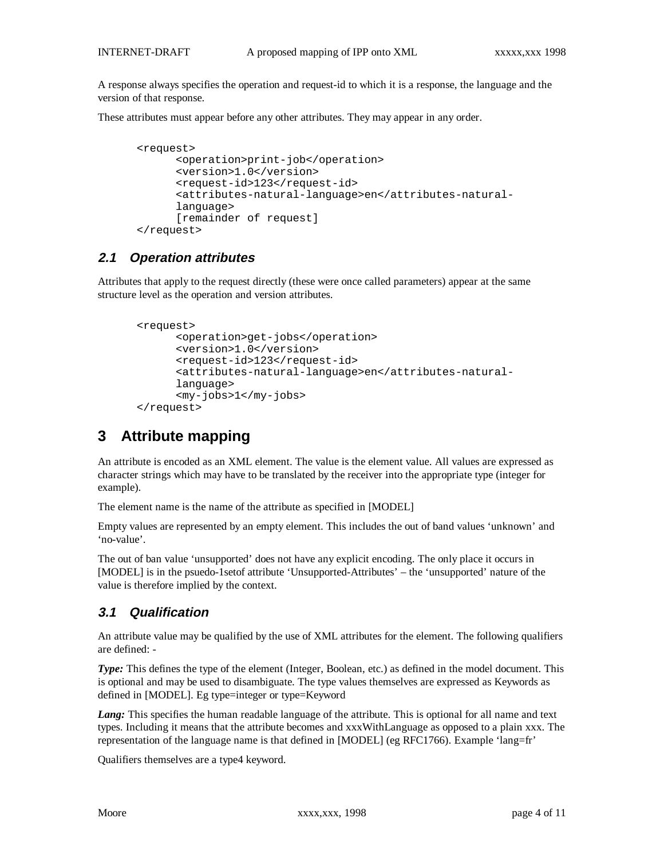A response always specifies the operation and request-id to which it is a response, the language and the version of that response.

These attributes must appear before any other attributes. They may appear in any order.

```
<request>
      <operation>print-job</operation>
      <version>1.0</version>
      <request-id>123</request-id>
      <attributes-natural-language>en</attributes-natural-
      language>
      [remainder of request]
</request>
```
### **2.1 Operation attributes**

Attributes that apply to the request directly (these were once called parameters) appear at the same structure level as the operation and version attributes.

```
<request>
      <operation>get-jobs</operation>
      <version>1.0</version>
      <request-id>123</request-id>
      <attributes-natural-language>en</attributes-natural-
      language>
      <my-jobs>1</my-jobs>
</request>
```
## **3 Attribute mapping**

An attribute is encoded as an XML element. The value is the element value. All values are expressed as character strings which may have to be translated by the receiver into the appropriate type (integer for example).

The element name is the name of the attribute as specified in [MODEL]

```
Empty values are represented by an empty element. This includes the out of band values 'unknown' and
'no-value'.
```
The out of ban value 'unsupported' does not have any explicit encoding. The only place it occurs in [MODEL] is in the psuedo-1setof attribute 'Unsupported-Attributes' – the 'unsupported' nature of the value is therefore implied by the context.

### **3.1 Qualification**

An attribute value may be qualified by the use of XML attributes for the element. The following qualifiers are defined: -

*Type:* This defines the type of the element (Integer, Boolean, etc.) as defined in the model document. This is optional and may be used to disambiguate. The type values themselves are expressed as Keywords as defined in [MODEL]. Eg type=integer or type=Keyword

*Lang:* This specifies the human readable language of the attribute. This is optional for all name and text types. Including it means that the attribute becomes and xxxWithLanguage as opposed to a plain xxx. The representation of the language name is that defined in [MODEL] (eg RFC1766). Example 'lang=fr'

Qualifiers themselves are a type4 keyword.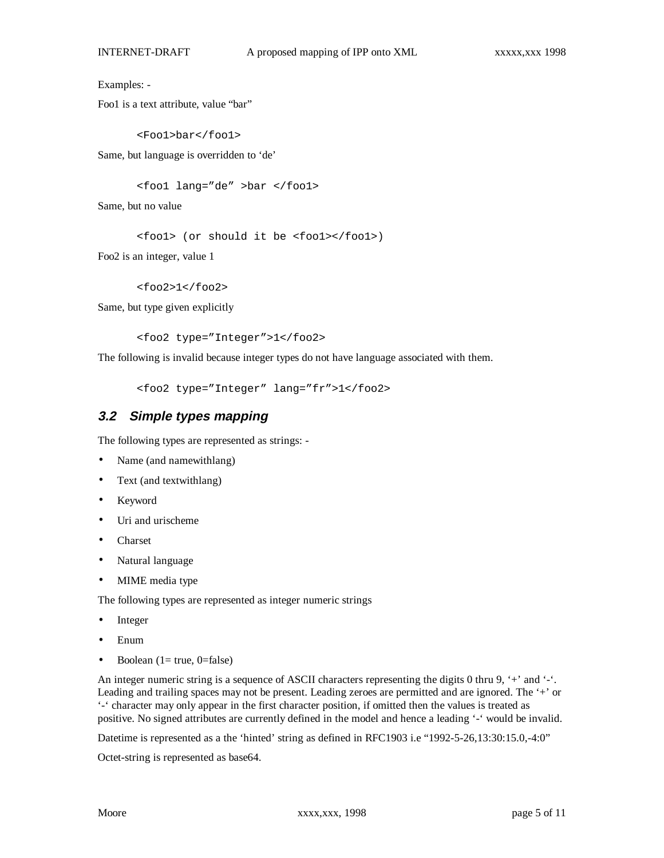Examples: -

Foo1 is a text attribute, value "bar"

<Foo1>bar</foo1>

Same, but language is overridden to 'de'

<foo1 lang="de" >bar </foo1>

Same, but no value

<foo1> (or should it be <foo1></foo1>)

Foo2 is an integer, value 1

<foo2>1</foo2>

Same, but type given explicitly

<foo2 type="Integer">1</foo2>

The following is invalid because integer types do not have language associated with them.

<foo2 type="Integer" lang="fr">1</foo2>

#### **3.2 Simple types mapping**

The following types are represented as strings: -

- Name (and namewithlang)
- Text (and textwithlang)
- Keyword
- Uri and urischeme
- Charset
- Natural language
- MIME media type

The following types are represented as integer numeric strings

- **Integer**
- Enum
- Boolean  $(1= true, 0= false)$

An integer numeric string is a sequence of ASCII characters representing the digits 0 thru 9, '+' and '-'. Leading and trailing spaces may not be present. Leading zeroes are permitted and are ignored. The '+' or '-' character may only appear in the first character position, if omitted then the values is treated as positive. No signed attributes are currently defined in the model and hence a leading '-' would be invalid.

Datetime is represented as a the 'hinted' string as defined in RFC1903 i.e "1992-5-26,13:30:15.0,-4:0"

Octet-string is represented as base64.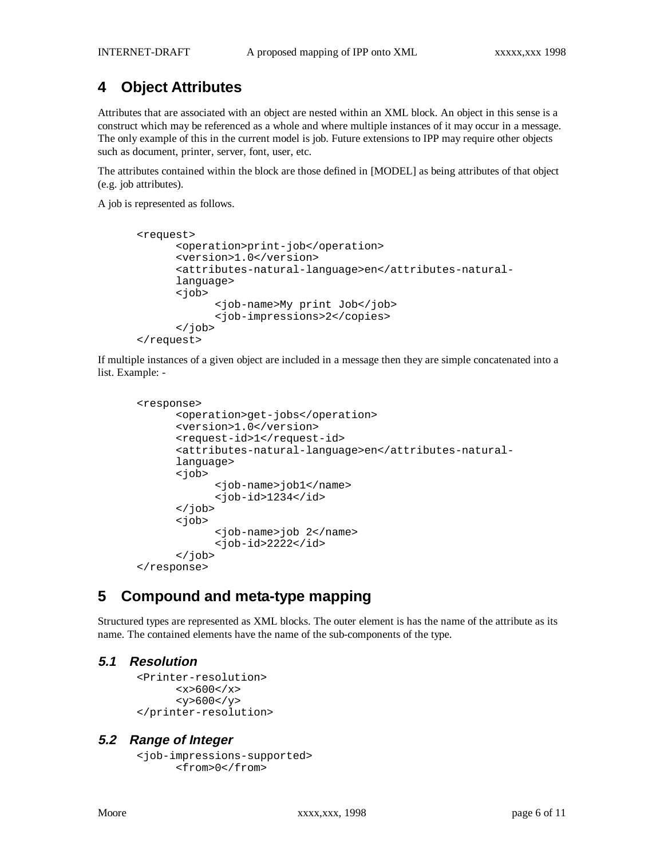# **4 Object Attributes**

Attributes that are associated with an object are nested within an XML block. An object in this sense is a construct which may be referenced as a whole and where multiple instances of it may occur in a message. The only example of this in the current model is job. Future extensions to IPP may require other objects such as document, printer, server, font, user, etc.

The attributes contained within the block are those defined in [MODEL] as being attributes of that object (e.g. job attributes).

A job is represented as follows.

```
<request>
      <operation>print-job</operation>
      <version>1.0</version>
      <attributes-natural-language>en</attributes-natural-
      language>
      <job>
            <job-name>My print Job</job>
            <job-impressions>2</copies>
      </job>
</request>
```
If multiple instances of a given object are included in a message then they are simple concatenated into a list. Example: -

```
<response>
      <operation>get-jobs</operation>
      <version>1.0</version>
      <request-id>1</request-id>
      <attributes-natural-language>en</attributes-natural-
      language>
      <job>
            <job-name>job1</name>
            -id>1234<i>q</i></job>
      <job>
            <job-name>job 2</name>
            <job-id>2222</id>
      </job>
</response>
```
## **5 Compound and meta-type mapping**

Structured types are represented as XML blocks. The outer element is has the name of the attribute as its name. The contained elements have the name of the sub-components of the type.

#### **5.1 Resolution**

```
<Printer-resolution>
      <x>600</math>< x><y>600</y>
</printer-resolution>
```
#### **5.2 Range of Integer**

```
<job-impressions-supported>
      <from>0</from>
```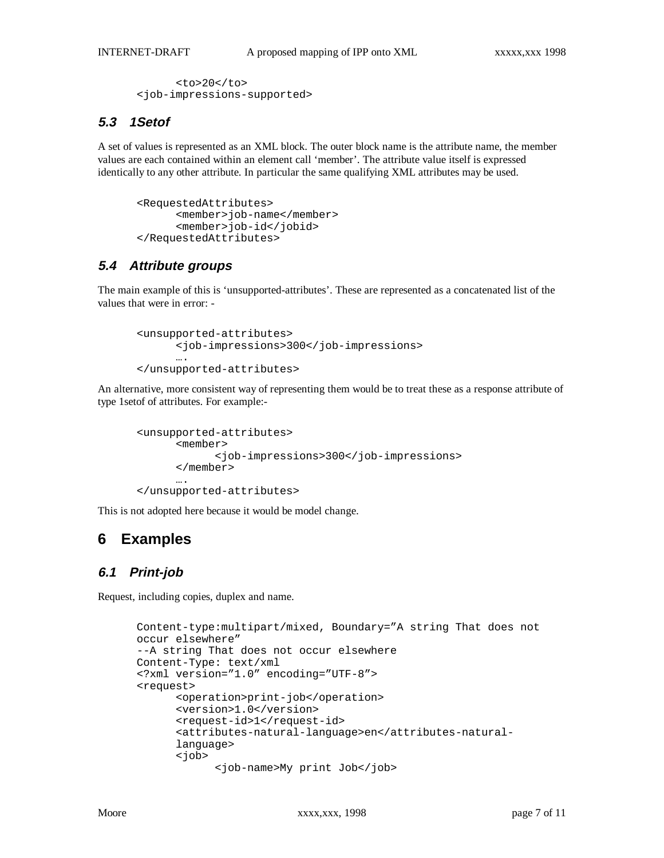```
<to>20</to>
<job-impressions-supported>
```
## **5.3 1Setof**

A set of values is represented as an XML block. The outer block name is the attribute name, the member values are each contained within an element call 'member'. The attribute value itself is expressed identically to any other attribute. In particular the same qualifying XML attributes may be used.

```
<RequestedAttributes>
      <member>job-name</member>
      <member>job-id</jobid>
</RequestedAttributes>
```
## **5.4 Attribute groups**

The main example of this is 'unsupported-attributes'. These are represented as a concatenated list of the values that were in error: -

```
<unsupported-attributes>
      <job-impressions>300</job-impressions>
      ….
</unsupported-attributes>
```
An alternative, more consistent way of representing them would be to treat these as a response attribute of type 1setof of attributes. For example:-

```
<unsupported-attributes>
      <member>
            <job-impressions>300</job-impressions>
      </member>
      ….
```
</unsupported-attributes>

This is not adopted here because it would be model change.

## **6 Examples**

## **6.1 Print-job**

Request, including copies, duplex and name.

```
Content-type:multipart/mixed, Boundary="A string That does not
occur elsewhere"
--A string That does not occur elsewhere
Content-Type: text/xml
<?xml version="1.0" encoding="UTF-8">
<request>
      <operation>print-job</operation>
      <version>1.0</version>
      <request-id>1</request-id>
      <attributes-natural-language>en</attributes-natural-
      language>
      <job>
            <job-name>My print Job</job>
```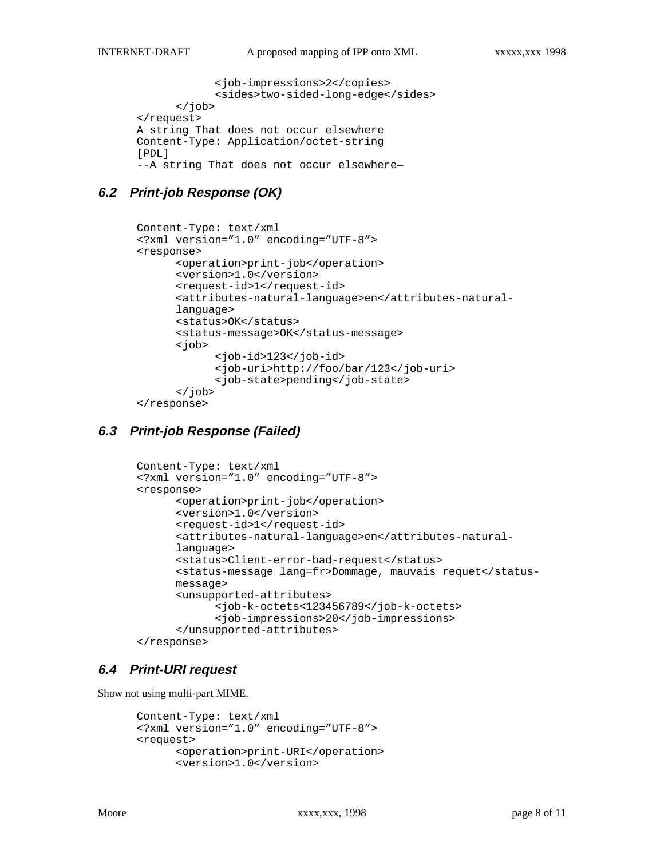```
<job-impressions>2</copies>
            <sides>two-sided-long-edge</sides>
      </job>
</request>
A string That does not occur elsewhere
Content-Type: Application/octet-string
[PDL]
--A string That does not occur elsewhere—
```
### **6.2 Print-job Response (OK)**

```
Content-Type: text/xml
<?xml version="1.0" encoding="UTF-8">
<response>
      <operation>print-job</operation>
      <version>1.0</version>
      <request-id>1</request-id>
      <attributes-natural-language>en</attributes-natural-
      language>
      <status>OK</status>
      <status-message>OK</status-message>
      <job>
            <job-id>123</job-id>
            <job-uri>http://foo/bar/123</job-uri>
            <job-state>pending</job-state>
      </job>
</response>
```
## **6.3 Print-job Response (Failed)**

```
Content-Type: text/xml
<?xml version="1.0" encoding="UTF-8">
<response>
      <operation>print-job</operation>
      <version>1.0</version>
      <request-id>1</request-id>
      <attributes-natural-language>en</attributes-natural-
      language>
      <status>Client-error-bad-request</status>
      <status-message lang=fr>Dommage, mauvais requet</status-
      message>
      <unsupported-attributes>
            <job-k-octets<123456789</job-k-octets>
            <job-impressions>20</job-impressions>
      </unsupported-attributes>
</response>
```
### **6.4 Print-URI request**

Show not using multi-part MIME.

```
Content-Type: text/xml
<?xml version="1.0" encoding="UTF-8">
<request>
      <operation>print-URI</operation>
      <version>1.0</version>
```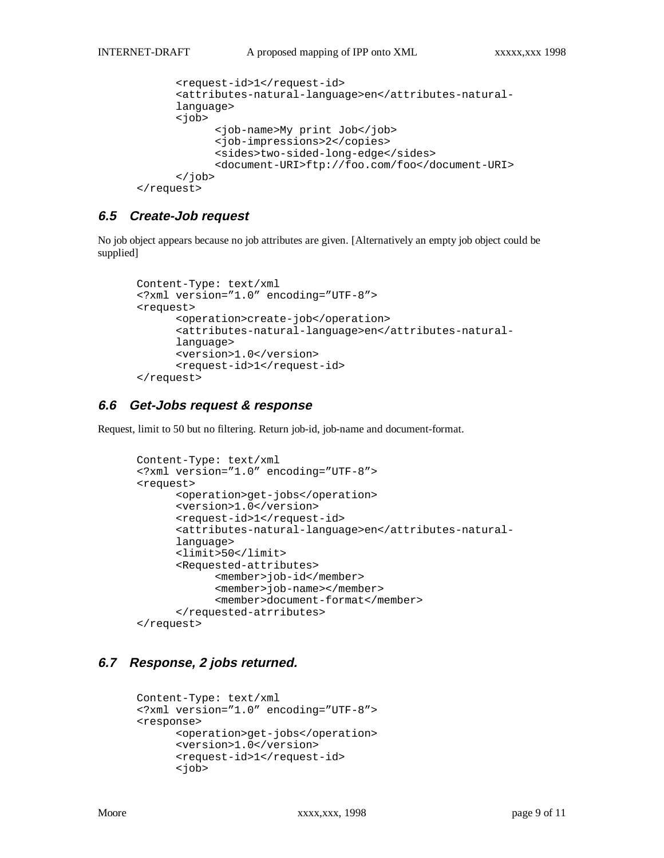```
<request-id>1</request-id>
      <attributes-natural-language>en</attributes-natural-
      language>
      <job>
            <job-name>My print Job</job>
            <job-impressions>2</copies>
            <sides>two-sided-long-edge</sides>
            <document-URI>ftp://foo.com/foo</document-URI>
      </job>
</request>
```
### **6.5 Create-Job request**

No job object appears because no job attributes are given. [Alternatively an empty job object could be supplied]

```
Content-Type: text/xml
<?xml version="1.0" encoding="UTF-8">
<request>
      <operation>create-job</operation>
      <attributes-natural-language>en</attributes-natural-
      language>
      <version>1.0</version>
      <request-id>1</request-id>
</request>
```
### **6.6 Get-Jobs request & response**

Request, limit to 50 but no filtering. Return job-id, job-name and document-format.

```
Content-Type: text/xml
<?xml version="1.0" encoding="UTF-8">
<request>
      <operation>get-jobs</operation>
      <version>1.0</version>
      <request-id>1</request-id>
      <attributes-natural-language>en</attributes-natural-
      language>
      <limit>50</limit>
      <Requested-attributes>
            <member>job-id</member>
            <member>job-name></member>
            <member>document-format</member>
      </requested-atrributes>
</request>
```
### **6.7 Response, 2 jobs returned.**

```
Content-Type: text/xml
<?xml version="1.0" encoding="UTF-8">
<response>
      <operation>get-jobs</operation>
      <version>1.0</version>
      <request-id>1</request-id>
      <job>
```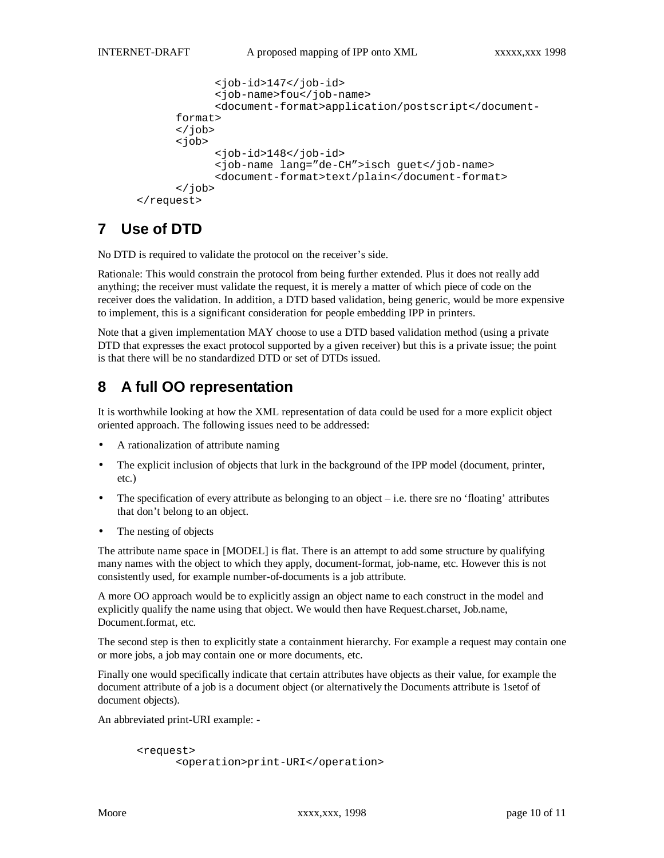```
<job-id>147</job-id>
            <job-name>fou</job-name>
            <document-format>application/postscript</document-
      format>
      </job>
      <job>
            <job-id>148</job-id>
            <job-name lang="de-CH">isch guet</job-name>
            <document-format>text/plain</document-format>
      </job>
</request>
```
# **7 Use of DTD**

No DTD is required to validate the protocol on the receiver's side.

Rationale: This would constrain the protocol from being further extended. Plus it does not really add anything; the receiver must validate the request, it is merely a matter of which piece of code on the receiver does the validation. In addition, a DTD based validation, being generic, would be more expensive to implement, this is a significant consideration for people embedding IPP in printers.

Note that a given implementation MAY choose to use a DTD based validation method (using a private DTD that expresses the exact protocol supported by a given receiver) but this is a private issue; the point is that there will be no standardized DTD or set of DTDs issued.

# **8 A full OO representation**

It is worthwhile looking at how the XML representation of data could be used for a more explicit object oriented approach. The following issues need to be addressed:

- A rationalization of attribute naming
- The explicit inclusion of objects that lurk in the background of the IPP model (document, printer, etc.)
- The specification of every attribute as belonging to an object  $-$  i.e. there sre no 'floating' attributes that don't belong to an object.
- The nesting of objects

The attribute name space in [MODEL] is flat. There is an attempt to add some structure by qualifying many names with the object to which they apply, document-format, job-name, etc. However this is not consistently used, for example number-of-documents is a job attribute.

A more OO approach would be to explicitly assign an object name to each construct in the model and explicitly qualify the name using that object. We would then have Request.charset, Job.name, Document.format, etc.

The second step is then to explicitly state a containment hierarchy. For example a request may contain one or more jobs, a job may contain one or more documents, etc.

Finally one would specifically indicate that certain attributes have objects as their value, for example the document attribute of a job is a document object (or alternatively the Documents attribute is 1setof of document objects).

An abbreviated print-URI example: -

```
<request>
     <operation>print-URI</operation>
```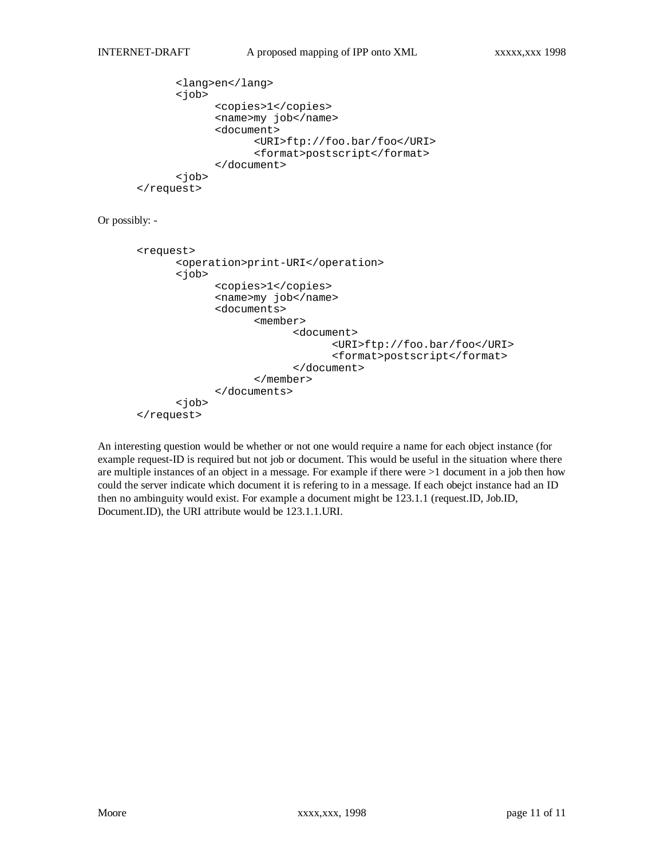```
<lang>en</lang>
      <job>
            <copies>1</copies>
            <name>my job</name>
            <document>
                  <URI>ftp://foo.bar/foo</URI>
                  <format>postscript</format>
            </document>
      <job>
</request>
```
Or possibly: -

```
<request>
      <operation>print-URI</operation>
      <job>
            <copies>1</copies>
            <name>my job</name>
            <documents>
                  <member>
                         <document>
                               <URI>ftp://foo.bar/foo</URI>
                               <format>postscript</format>
                         </document>
                  </member>
            </documents>
      <job>
</request>
```
An interesting question would be whether or not one would require a name for each object instance (for example request-ID is required but not job or document. This would be useful in the situation where there are multiple instances of an object in a message. For example if there were >1 document in a job then how could the server indicate which document it is refering to in a message. If each obejct instance had an ID then no ambinguity would exist. For example a document might be 123.1.1 (request.ID, Job.ID, Document.ID), the URI attribute would be 123.1.1.URI.